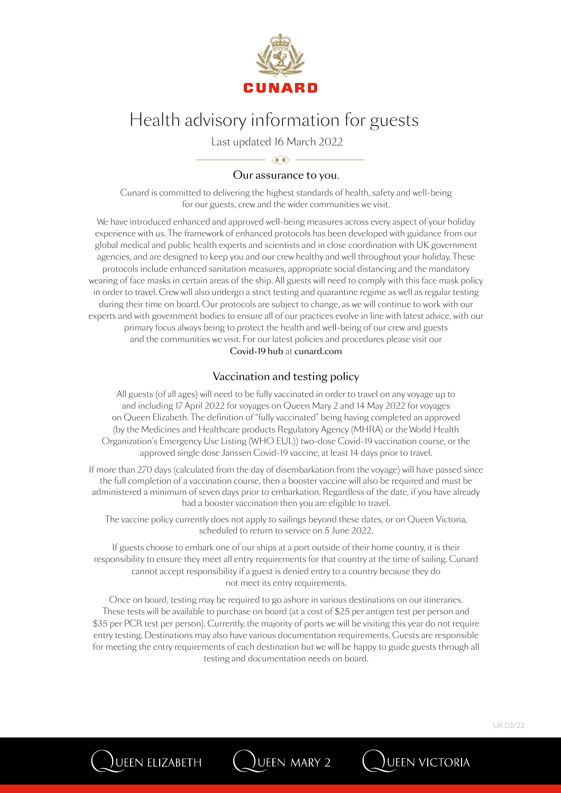

Last updated 16 March 2022

## $\longrightarrow$   $\iff$ Our assurance to you.

Cunard is committed to delivering the highest standards of health, safety and well-being for our guests, crew and the wider communities we visit.

We have introduced enhanced and approved well-being measures across every aspect of your holiday experience with us. The framework of enhanced protocols has been developed with guidance from our global medical and public health experts and scientists and in close coordination with UK government agencies, and are designed to keep you and our crew healthy and well throughout your holiday. These protocols include enhanced sanitation measures, appropriate social distancing and the mandatory wearing of face masks in certain areas of the ship. All guests will need to comply with this face mask policy in order to travel. Crew will also undergo a strict testing and quarantine regime as well as regular testing during their time on board. Our protocols are subject to change, as we will continue to work with our experts and with government bodies to ensure all of our practices evolve in line with latest advice, with our primary focus always being to protect the health and well-being of our crew and guests and the communities we visit. For our latest policies and procedures please visit our Covid-19 hub at cunard.com

### Vaccination and testing policy

All guests (of all ages) will need to be fully vaccinated in order to travel on any voyage up to and including 17 April 2022 for voyages on Queen Mary 2 and 14 May 2022 for voyages on Queen Elizabeth. The definition of "fully vaccinated" being having completed an approved (by the Medicines and Healthcare products Regulatory Agency (MHRA) or the World Health Organization's Emergency Use Listing (WHO EUL)) two-dose Covid-19 vaccination course, or the approved single dose Janssen Covid-19 vaccine, at least 14 days prior to travel.

If more than 270 days (calculated from the day of disembarkation from the voyage) will have passed since the full completion of a vaccination course, then a booster vaccine will also be required and must be administered a minimum of seven days prior to embarkation. Regardless of the date, if you have already had a booster vaccination then you are eligible to travel.

The vaccine policy currently does not apply to sailings beyond these dates, or on Queen Victoria, scheduled to return to service on 5 June 2022.

If guests choose to embark one of our ships at a port outside of their home country, it is their responsibility to ensure they meet all entry requirements for that country at the time of sailing. Cunard cannot accept responsibility if a guest is denied entry to a country because they do not meet its entry requirements.

Once on board, testing may be required to go ashore in various destinations on our itineraries. These tests will be available to purchase on board (at a cost of \$25 per antigen test per person and \$35 per PCR test per person). Currently, the majority of ports we will be visiting this year do not require entry testing. Destinations may also have various documentation requirements. Guests are responsible for meeting the entry requirements of each destination but we will be happy to guide guests through all testing and documentation needs on board.

UEEN MARY 2

)ueen elizabeth



**JUEEN VICTORIA**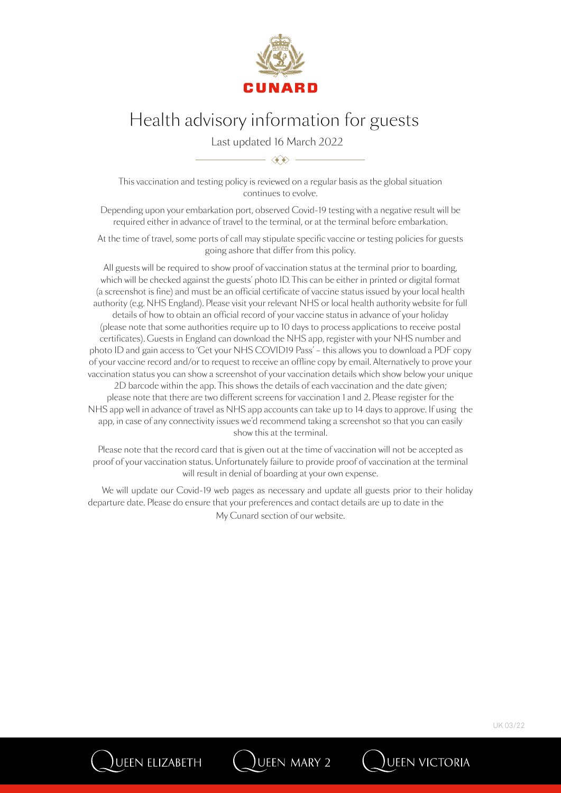

Last updated 16 March 2022

This vaccination and testing policy is reviewed on a regular basis as the global situation continues to evolve.

 $\langle \hat{\mathbf{x}} \rangle$   $-$ 

Depending upon your embarkation port, observed Covid-19 testing with a negative result will be required either in advance of travel to the terminal, or at the terminal before embarkation.

At the time of travel, some ports of call may stipulate specific vaccine or testing policies for guests going ashore that differ from this policy.

All guests will be required to show proof of vaccination status at the terminal prior to boarding, which will be checked against the guests' photo ID. This can be either in printed or digital format (a screenshot is fine) and must be an official certificate of vaccine status issued by your local health authority (e.g. NHS England). Please visit your relevant NHS or local health authority website for full details of how to obtain an official record of your vaccine status in advance of your holiday (please note that some authorities require up to 10 days to process applications to receive postal certificates). Guests in England can download the NHS app, register with your NHS number and photo ID and gain access to 'Get your NHS COVID19 Pass' – this allows you to download a PDF copy of your vaccine record and/or to request to receive an offline copy by email. Alternatively to prove your vaccination status you can show a screenshot of your vaccination details which show below your unique 2D barcode within the app. This shows the details of each vaccination and the date given; please note that there are two different screens for vaccination 1 and 2. Please register for the NHS app well in advance of travel as NHS app accounts can take up to 14 days to approve. If using the app, in case of any connectivity issues we'd recommend taking a screenshot so that you can easily show this at the terminal.

Please note that the record card that is given out at the time of vaccination will not be accepted as proof of your vaccination status. Unfortunately failure to provide proof of vaccination at the terminal will result in denial of boarding at your own expense.

We will update our Covid-19 web pages as necessary and update all guests prior to their holiday departure date. Please do ensure that your preferences and contact details are up to date in the My Cunard section of our website.

UEEN MARY 2

)ueen elizabeth

**J**UEEN VICTORIA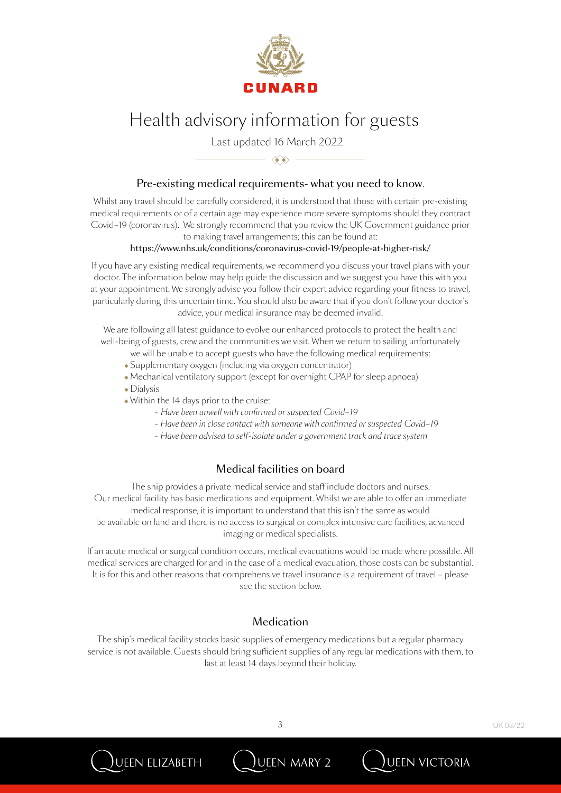

Last updated 16 March 2022

### Pre-existing medical requirements- what you need to know.

 $\overline{\phantom{a}}$   $\overline{\phantom{a}}$   $\overline{\phantom{a}}$   $\overline{\phantom{a}}$ 

Whilst any travel should be carefully considered, it is understood that those with certain pre-existing medical requirements or of a certain age may experience more severe symptoms should they contract Covid–19 (coronavirus). We strongly recommend that you review the UK Government guidance prior to making travel arrangements; this can be found at:

#### https://www.nhs.uk/conditions/coronavirus-covid-19/people-at-higher-risk/

If you have any existing medical requirements, we recommend you discuss your travel plans with your doctor. The information below may help guide the discussion and we suggest you have this with you at your appointment. We strongly advise you follow their expert advice regarding your fitness to travel, particularly during this uncertain time. You should also be aware that if you don't follow your doctor's advice, your medical insurance may be deemed invalid.

We are following all latest guidance to evolve our enhanced protocols to protect the health and well-being of guests, crew and the communities we visit. When we return to sailing unfortunately

- we will be unable to accept guests who have the following medical requirements:
- $\bullet$  Supplementary oxygen (including via oxygen concentrator)
- $\bullet$  Mechanical ventilatory support (except for overnight CPAP for sleep apnoea)
- $\bullet$  Dialysis

ueen elizabeth

- $\bullet$  Within the 14 days prior to the cruise:
	- *Have been unwell with confirmed or suspected Covid–19*
	- *Have been in close contact with someone with confirmed or suspected Covid–19*
	- *Have been advised to self-isolate under a government track and trace system*

#### Medical facilities on board

The ship provides a private medical service and staff include doctors and nurses. Our medical facility has basic medications and equipment. Whilst we are able to offer an immediate medical response, it is important to understand that this isn't the same as would be available on land and there is no access to surgical or complex intensive care facilities, advanced imaging or medical specialists.

If an acute medical or surgical condition occurs, medical evacuations would be made where possible. All medical services are charged for and in the case of a medical evacuation, those costs can be substantial. It is for this and other reasons that comprehensive travel insurance is a requirement of travel – please see the section below.

### **Medication**

The ship's medical facility stocks basic supplies of emergency medications but a regular pharmacy service is not available. Guests should bring sufficient supplies of any regular medications with them, to last at least 14 days beyond their holiday.

UEEN MARY 2

**JUEEN VICTORIA**